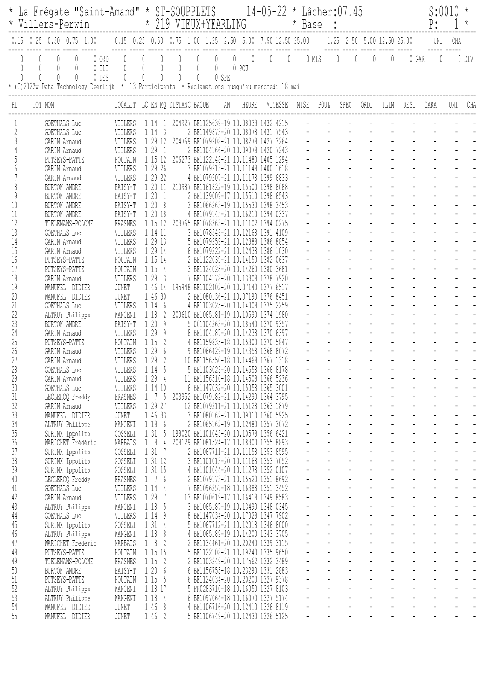| * La Frégate "Saint-Amand" * ST-SOUPPLETS 14-05-22 * Lâcher:07.45<br>* Villers-Perwin * 219 VIEUX+YEARLING * Base : |                                                                                                                                           |                                   |                                                                                                                                |                                                                       |                                                                 |            |                                     |                                                                                                                     |  |                     |      |                                                                   | S:0010<br>P:                               |                                            |                                                                                               |                                            |                |                                  |
|---------------------------------------------------------------------------------------------------------------------|-------------------------------------------------------------------------------------------------------------------------------------------|-----------------------------------|--------------------------------------------------------------------------------------------------------------------------------|-----------------------------------------------------------------------|-----------------------------------------------------------------|------------|-------------------------------------|---------------------------------------------------------------------------------------------------------------------|--|---------------------|------|-------------------------------------------------------------------|--------------------------------------------|--------------------------------------------|-----------------------------------------------------------------------------------------------|--------------------------------------------|----------------|----------------------------------|
|                                                                                                                     | $0.15$ $0.25$ $0.50$ $0.75$ $1.00$                                                                                                        |                                   |                                                                                                                                |                                                                       |                                                                 |            |                                     | $0.15$ $0.25$ $0.50$ $0.75$ $1.00$ $1.25$ $2.50$ $5.00$ $7.50$ $12.50$ $25.00$ $1.25$ $2.50$ $5.00$ $12.50$ $25.00$ |  |                     |      |                                                                   |                                            |                                            |                                                                                               | UNI                                        |                |                                  |
| $\begin{matrix} \end{matrix}$<br>$\left( \right)$                                                                   | 0 ORD<br>0<br>$0$ ILI<br>0 DES<br>N<br>0<br>* (C)2022w Data Technology Deerlijk * 13 Participants * Réclamations jusqu'au mercredi 18 mai | $\theta$<br>$\mathbf{0}$          | $\mathbb{O}$<br>$\overline{0}$<br>$\mathbb O$<br>$\overline{0}$<br>0<br>$\begin{matrix} \downarrow \\ \downarrow \end{matrix}$ | $\hfill\ensuremath{\mathbb{O}}$<br>0<br>$\begin{matrix} \end{matrix}$ | $\bigcirc$<br>0<br>$\emptyset$<br>$\begin{matrix} \end{matrix}$ | 0<br>0 SPE | $\theta$<br>$\overline{0}$<br>0 POU | $0\qquad 0$                                                                                                         |  |                     |      | $0$ MIS $0$ 0                                                     | $\overline{0}$                             | $\begin{matrix} \end{matrix}$              | 0 GAR                                                                                         | $\overline{0}$                             |                | 0 DIV                            |
|                                                                                                                     | TOT NOM                                                                                                                                   | LOCALIT LC EN MQ DISTANC BAGUE AN |                                                                                                                                |                                                                       |                                                                 |            |                                     | HEURE VITESSE                                                                                                       |  | MISE                | POUL | SPEC                                                              | ORDI                                       | ILIM                                       | DESI                                                                                          | GARA                                       | UNI            | CHA                              |
|                                                                                                                     | GOETHALS Luc                                                                                                                              | VILLERS                           | 1 14                                                                                                                           |                                                                       |                                                                 |            |                                     | 204927 BE1125639-19 10.08038 1432.4215                                                                              |  |                     |      |                                                                   |                                            |                                            |                                                                                               |                                            |                |                                  |
|                                                                                                                     | GOETHALS Luc                                                                                                                              | VILLERS                           | 1 14 3                                                                                                                         |                                                                       |                                                                 |            |                                     | 2 BE1149873-20 10.08078 1431.7543                                                                                   |  |                     |      |                                                                   |                                            |                                            |                                                                                               |                                            |                |                                  |
|                                                                                                                     | GARIN Arnaud<br>GARIN Arnaud                                                                                                              | VILLERS<br>VILLERS                | 1 29 12<br>129<br>$\overline{1}$                                                                                               |                                                                       |                                                                 |            |                                     | 204769 BE1079208-21 10.08278 1427.3264<br>2 BE1104166-20 10.09078 1420.7243                                         |  |                     |      |                                                                   |                                            |                                            |                                                                                               |                                            |                |                                  |
|                                                                                                                     | PUTSEYS-PATTE                                                                                                                             | HOUTAIN                           | 1 15 12                                                                                                                        |                                                                       |                                                                 |            |                                     | 206273 BE1122148-21 10.11480 1405.1294                                                                              |  |                     |      |                                                                   |                                            |                                            |                                                                                               |                                            |                |                                  |
|                                                                                                                     | GARIN Arnaud                                                                                                                              | VILLERS                           | 1 29 26                                                                                                                        |                                                                       |                                                                 |            |                                     | 3 BE1079213-21 10.11148 1400.1618                                                                                   |  |                     |      |                                                                   |                                            |                                            |                                                                                               |                                            |                |                                  |
|                                                                                                                     | GARIN Arnaud                                                                                                                              | VILLERS                           | 1 29 22                                                                                                                        |                                                                       |                                                                 |            |                                     | 4 BE1079207-21 10.11178 1399.6833                                                                                   |  |                     |      |                                                                   |                                            |                                            |                                                                                               |                                            |                |                                  |
|                                                                                                                     | <b>BURTON ANDRE</b><br><b>BURTON ANDRE</b>                                                                                                | BAISY-T<br>BAISY-T                | 1 20 11<br>120<br>-1                                                                                                           |                                                                       |                                                                 |            |                                     | 210987 BE1161822-19 10.15500 1398.8088<br>2 BE1139009-17 10.15510 1398.6543                                         |  |                     |      |                                                                   |                                            |                                            |                                                                                               |                                            |                |                                  |
| 10                                                                                                                  | BURTON ANDRE                                                                                                                              | BAISY-T                           | 1 20<br>- 8                                                                                                                    |                                                                       |                                                                 |            |                                     | BE1066263-19 10.15530 1398.3453                                                                                     |  |                     |      |                                                                   |                                            |                                            |                                                                                               |                                            |                |                                  |
| 11                                                                                                                  | BURTON ANDRE                                                                                                                              | BAISY-T                           | 1 20 18                                                                                                                        |                                                                       |                                                                 |            |                                     | 4 BE1079145-21 10.16210 1394.0337                                                                                   |  |                     |      |                                                                   |                                            |                                            |                                                                                               |                                            |                |                                  |
| 12                                                                                                                  | TIELEMANS-POLOME                                                                                                                          | FRASNES                           | 1 15 12                                                                                                                        |                                                                       |                                                                 |            |                                     | 203765 BE1078363-21 10.11102 1394.0275                                                                              |  |                     |      |                                                                   |                                            |                                            |                                                                                               |                                            |                |                                  |
| 13<br>14                                                                                                            | GOETHALS Luc<br>GARIN Arnaud                                                                                                              | VILLERS<br>VILLERS                | 1 14 11<br>1 29 13                                                                                                             |                                                                       |                                                                 |            |                                     | 3 BE1078543-21 10.12168 1391.4109<br>5 BE1079259-21 10.12388 1386.8854                                              |  |                     |      |                                                                   |                                            |                                            |                                                                                               |                                            |                |                                  |
| 15                                                                                                                  | GARIN Arnaud                                                                                                                              | VILLERS                           | 1 29 14                                                                                                                        |                                                                       |                                                                 |            |                                     | 6 BE1079222-21 10.12438 1386.1030                                                                                   |  |                     |      |                                                                   |                                            |                                            |                                                                                               |                                            |                |                                  |
| 16                                                                                                                  | PUTSEYS-PATTE                                                                                                                             | HOUTAIN                           | 1 15 14                                                                                                                        |                                                                       |                                                                 |            |                                     | 2 BE1122039-21 10.14150 1382.0637                                                                                   |  |                     |      |                                                                   |                                            |                                            |                                                                                               |                                            |                |                                  |
| 17                                                                                                                  | PUTSEYS-PATTE                                                                                                                             | HOUTAIN                           | 1 15<br>4                                                                                                                      |                                                                       |                                                                 |            |                                     | 3 BE1124028-20 10.14260 1380.3681                                                                                   |  |                     |      |                                                                   |                                            |                                            |                                                                                               |                                            |                |                                  |
| 18<br>19                                                                                                            | GARIN Arnaud<br>WANUFEL DIDIER                                                                                                            | VILLERS<br>JUMET                  | 1 29<br>- 3<br>1 46 14                                                                                                         |                                                                       |                                                                 |            |                                     | BE1104178-20 10.13308 1378.7920<br>195948 BE1102402-20 10.07140 1377.6517                                           |  |                     |      |                                                                   |                                            |                                            |                                                                                               |                                            |                |                                  |
| 20                                                                                                                  | WANUFEL DIDIER                                                                                                                            | JUMET                             | 1 46 30                                                                                                                        |                                                                       |                                                                 |            |                                     | 2 BE1080136-21 10.07190 1376.8451                                                                                   |  |                     |      |                                                                   |                                            |                                            |                                                                                               |                                            |                |                                  |
| 21                                                                                                                  | <b>GOETHALS</b> Luc                                                                                                                       | VILLERS                           | 1 14<br>- 6                                                                                                                    |                                                                       |                                                                 |            |                                     | BE1103025-20 10.14008 1375.2259                                                                                     |  |                     |      |                                                                   |                                            |                                            |                                                                                               |                                            |                |                                  |
| 22<br>23                                                                                                            | ALTRUY Philippe<br>BURTON ANDRE                                                                                                           | WANGENI<br>BAISY-T                | 1 18<br>-2<br>120<br>9                                                                                                         |                                                                       |                                                                 |            |                                     | 200610 BE1065181-19 10.10590 1374.1980<br>5 001104263-20 10.18540 1370.9357                                         |  |                     |      |                                                                   |                                            |                                            |                                                                                               |                                            |                |                                  |
| 24                                                                                                                  | GARIN Arnaud                                                                                                                              | VILLERS                           | 1 29<br>9                                                                                                                      |                                                                       |                                                                 |            |                                     | 8 BE1104187-20 10.14238 1370.6397                                                                                   |  |                     |      |                                                                   |                                            |                                            |                                                                                               |                                            |                |                                  |
| 25                                                                                                                  | PUTSEYS-PATTE                                                                                                                             | HOUTAIN                           | 1 15<br>-2                                                                                                                     |                                                                       |                                                                 |            |                                     | 4 BE1159835-18 10.15300 1370.5847                                                                                   |  |                     |      |                                                                   |                                            |                                            |                                                                                               |                                            |                |                                  |
| 26                                                                                                                  | GARIN Arnaud                                                                                                                              | VILLERS                           | 1 29<br>6                                                                                                                      |                                                                       |                                                                 |            |                                     | 9 BE1066429-19 10.14358 1368.8072                                                                                   |  |                     |      |                                                                   |                                            |                                            |                                                                                               |                                            |                |                                  |
| 27<br>28                                                                                                            | GARIN Arnaud<br>GOETHALS Luc                                                                                                              | VILLERS<br>VILLERS                | 1 29<br>1 14<br>- 5                                                                                                            |                                                                       |                                                                 |            |                                     | 10 BE1156550-18 10.14468 1367.1318<br>5 BE1103023-20 10.14558 1366.8178                                             |  |                     |      |                                                                   |                                            |                                            |                                                                                               |                                            |                |                                  |
| 29                                                                                                                  | GARIN Arnaud                                                                                                                              | VILLERS                           | 1294                                                                                                                           |                                                                       |                                                                 |            |                                     | 11 BE1156510-18 10.14508 1366.5236                                                                                  |  |                     |      |                                                                   |                                            |                                            |                                                                                               |                                            |                |                                  |
| $30\,$                                                                                                              | GOETHALS Luc                                                                                                                              | VILLERS                           | 1 14 10                                                                                                                        |                                                                       |                                                                 |            |                                     | 6 BE1147032-20 10.15058 1365.3001                                                                                   |  |                     |      |                                                                   |                                            |                                            |                                                                                               |                                            |                | $\overline{a}$                   |
| 31                                                                                                                  | LECLERCQ Freddy                                                                                                                           | FRASNES                           | $1 \t7 \t5$                                                                                                                    |                                                                       |                                                                 |            |                                     | 203952 BE1079182-21 10.14290 1364.3795                                                                              |  |                     |      | $\omega_{\rm{eff}}$<br>$\frac{1}{2}$ ).                           | $\omega_{\rm{max}}$                        |                                            |                                                                                               |                                            |                | $\overline{a}$                   |
| 32<br>33                                                                                                            | GARIN Arnaud<br>WANUFEL DIDIER                                                                                                            | VILLERS<br>JUMET                  | 1 29 27<br>1 46 33                                                                                                             |                                                                       |                                                                 |            |                                     | 12 BE1079211-21 10.15128 1363.1879<br>3 BE1080162-21 10.09010 1360.5925                                             |  |                     |      |                                                                   | $\omega_{\rm{max}}$                        |                                            |                                                                                               |                                            |                |                                  |
| 34                                                                                                                  | ALTRUY Philippe                                                                                                                           | WANGENI                           | 1 18 6                                                                                                                         |                                                                       |                                                                 |            |                                     | 2 BE1065162-19 10.12480 1357.3072                                                                                   |  |                     |      |                                                                   | $\omega_{\rm{max}}$                        |                                            |                                                                                               |                                            |                |                                  |
| $35\,$                                                                                                              | SURINX Ippolito                                                                                                                           | GOSSELI                           | 1 31 5                                                                                                                         |                                                                       |                                                                 |            |                                     | 198020 BE1101043-20 10.10578 1356.6421                                                                              |  |                     |      |                                                                   | $\omega_{\rm{max}}$                        | $\omega_{\rm{eff}}=2.0\pm0.01$             | $\omega_{\rm{max}}$                                                                           |                                            |                |                                  |
| 36                                                                                                                  | WARICHET Frédéric                                                                                                                         | MARBAIS                           | 184                                                                                                                            |                                                                       |                                                                 |            |                                     | 208129 BE1081524-17 10.18300 1355.8893                                                                              |  |                     |      | $\omega_{\rm{max}}$<br>$\omega_{\rm{max}}$<br>$\omega_{\rm{max}}$ | $\omega_{\rm{max}}$                        |                                            | $\omega_{\rm{max}}$                                                                           | $\omega_{\rm{max}}$<br>$\omega$            | $\mathbb{L}^2$ | $\overline{a}$                   |
| 37<br>38                                                                                                            | SURINX Ippolito<br>SURINX Ippolito                                                                                                        | GOSSELI<br>GOSSELI                | 1317<br>1 31 12                                                                                                                |                                                                       |                                                                 |            |                                     | 2 BE1067711-21 10.11158 1353.8595<br>3 BE1101013-20 10.11168 1353.7052                                              |  |                     |      | $\omega_{\rm{max}}$                                               |                                            | $\frac{1}{2}$ .                            | $\frac{1}{2}$ ).<br>$\omega_{\rm{max}}$                                                       |                                            |                | $\overline{a}$                   |
| 39                                                                                                                  | SURINX Ippolito                                                                                                                           | GOSSELI                           | 1 31 15                                                                                                                        |                                                                       |                                                                 |            |                                     | 4 BE1101044-20 10.11278 1352.0107                                                                                   |  |                     |      | $\Delta \sim 10^4$                                                |                                            | $\frac{1}{2}$                              | $\omega_{\rm{max}}$                                                                           |                                            |                |                                  |
| $40\,$                                                                                                              | LECLERCQ Freddy                                                                                                                           | FRASNES                           | 176                                                                                                                            |                                                                       |                                                                 |            |                                     | 2 BE1079173-21 10.15520 1351.8692                                                                                   |  | $\omega_{\rm{max}}$ |      |                                                                   | $\omega_{\rm{max}}$                        |                                            | $\omega_{\rm{max}}$<br>$\mathbb{L}$                                                           | $\mathbb{L}^{\mathbb{N}}$                  |                |                                  |
| 41                                                                                                                  | GOETHALS Luc                                                                                                                              | VILLERS                           | 1144                                                                                                                           |                                                                       |                                                                 |            |                                     | 7 BE1096257-18 10.16388 1351.3452                                                                                   |  |                     |      | $\Delta \sim 10^4$<br>$\omega_{\rm{max}}$                         | $\omega_{\rm{max}}$                        |                                            | $\omega_{\rm{eff}}=2.00$ km s $^{-1}$<br>$\omega_{\rm{eff}}=2.00$ km s $^{-1}$ .              | $\omega_{\rm{max}}$<br>$\omega_{\rm{max}}$ | $\mathbb{L}^2$ | $\overline{a}$<br>$\overline{a}$ |
| 42<br>43                                                                                                            | GARIN Arnaud<br>ALTRUY Philippe                                                                                                           | VILLERS<br>WANGENI                | 1 29 7<br>1 18 5                                                                                                               |                                                                       |                                                                 |            |                                     | 13 BE1070619-17 10.16418 1349.8583<br>3 BE1065187-19 10.13490 1348.0345                                             |  |                     |      | $\omega_{\rm{max}}$<br>$\omega_{\rm{max}}$                        |                                            |                                            | $\omega_{\rm{max}}$                                                                           | $\mathbb{Z}^{\mathbb{Z}}$                  |                | $\overline{a}$                   |
| $\sqrt{44}$                                                                                                         | <b>GOETHALS</b> Luc                                                                                                                       | VILLERS                           | 1 14 9                                                                                                                         |                                                                       |                                                                 |            |                                     | 8 BE1147034-20 10.17028 1347.7902                                                                                   |  |                     |      | $\omega_{\rm{max}}$                                               |                                            | $\frac{1}{2}$ ) .                          | $\frac{1}{2}$ .<br>$\omega_{\rm{max}}$                                                        |                                            |                |                                  |
| $45\,$                                                                                                              | SURINX Ippolito                                                                                                                           | GOSSELI                           | 1314                                                                                                                           |                                                                       |                                                                 |            |                                     | 5 BE1067712-21 10.12018 1346.8000                                                                                   |  |                     |      | $\omega_{\rm{max}}$                                               |                                            | $\frac{1}{\sqrt{2}}$                       | $\omega_{\rm{max}}$                                                                           |                                            |                |                                  |
| $46\,$                                                                                                              | ALTRUY Philippe                                                                                                                           | WANGENI                           | 1188                                                                                                                           |                                                                       |                                                                 |            |                                     | 4 BE1065189-19 10.14200 1343.3705                                                                                   |  |                     |      |                                                                   | $\omega_{\rm{max}}$<br>$\omega_{\rm{max}}$ | $\omega_{\rm{max}}$<br>$\omega_{\rm{max}}$ | $\omega_{\rm{max}}$<br>$\mathbb{L}^{\mathbb{N}}$<br>$\Delta \sim 10^4$<br>$\omega_{\rm{max}}$ |                                            |                |                                  |
| 47<br>48                                                                                                            | WARICHET Frédéric<br>PUTSEYS-PATTE                                                                                                        | MARBAIS<br>HOUTAIN                | $1 \theta$<br>-2<br>1 15 15                                                                                                    |                                                                       |                                                                 |            |                                     | 2 BE1134461-20 10.20240 1339.3115<br>5 BE1122108-21 10.19240 1335.9650                                              |  |                     |      | $\Delta \sim 10^{11}$<br>$\omega_{\rm{max}}$                      |                                            | $\omega_{\rm{eff}}=0.000$                  | $\omega_{\rm{max}}$                                                                           | $\omega_{\rm{max}}$                        | $\mathbb{L}^2$ | $\overline{a}$                   |
| 49                                                                                                                  | TIELEMANS-POLOME                                                                                                                          | FRASNES                           | 1 15 2                                                                                                                         |                                                                       |                                                                 |            |                                     | 2 BE1103249-20 10.17562 1332.3489                                                                                   |  |                     |      | $\omega_{\rm{max}}$<br>$\omega_{\rm{max}}$                        |                                            | $\omega_{\rm{max}}$                        | $\omega_{\rm{max}}$<br>$\omega_{\rm{max}}$                                                    |                                            |                | $\overline{a}$                   |
| $50\,$                                                                                                              | BURTON ANDRE                                                                                                                              | BAISY-T                           | 1206                                                                                                                           |                                                                       |                                                                 |            |                                     | 6 BE1156755-18 10.23290 1331.2883                                                                                   |  |                     |      | $\omega$                                                          |                                            | $\omega_{\rm{max}}$                        | $\omega_{\rm{max}}$<br>$\mathbb{L}^{\mathbb{N}}$                                              |                                            |                |                                  |
| $51\,$                                                                                                              | PUTSEYS-PATTE                                                                                                                             | HOUTAIN                           | 1 15 5                                                                                                                         |                                                                       |                                                                 |            |                                     | 6 BE1124034-20 10.20200 1327.9378                                                                                   |  |                     |      | $\omega_{\rm{max}}$<br>$\mathbb{L}^{\mathbb{N}}$                  | $\mathbb{Z}^{\mathbb{Z}^2}$                | $\omega_{\rm{max}}$                        | $\omega_{\rm{max}}$<br>$\omega_{\rm{max}}$<br>$\omega_{\rm{max}}$<br>$\mathbb{L}$             | $\mathbb{L}^2$                             |                |                                  |
| 52<br>53                                                                                                            | ALTRUY Philippe<br>ALTRUY Philippe                                                                                                        | WANGENI<br>WANGENI                | 1 18 17<br>1 18 4                                                                                                              |                                                                       |                                                                 |            |                                     | 5 FR0283710-18 10.16050 1327.8103<br>6 BE1097064-18 10.16070 1327.5174                                              |  |                     |      | $\mathbb{L}^{\mathbb{N}}$                                         | $\mathbb{Z}^{\mathbb{Z}}$                  |                                            | $\omega_{\rm{max}}$<br>$\mathbf{r}$                                                           | $\mathbb{L}^2$                             |                |                                  |
| 54                                                                                                                  | WANUFEL DIDIER                                                                                                                            | JUMET                             | 1 46 8                                                                                                                         |                                                                       |                                                                 |            |                                     | 4 BE1106716-20 10.12410 1326.8119                                                                                   |  | $\omega_{\rm{eff}}$ |      | $\Delta \sim 10^{11}$<br>$\omega$ .                               |                                            | $\omega_{\rm{max}}$                        | $\omega_{\rm{max}}$<br>$\omega_{\rm{max}}$                                                    | $\omega$                                   |                | $\overline{a}$                   |
| 55                                                                                                                  | WANUFEL DIDIER                                                                                                                            | JUMET                             | 1 46 2                                                                                                                         |                                                                       |                                                                 |            |                                     | 5 BE1106749-20 10.12430 1326.5125                                                                                   |  | $\omega_{\rm c}$    |      |                                                                   |                                            |                                            |                                                                                               |                                            |                |                                  |